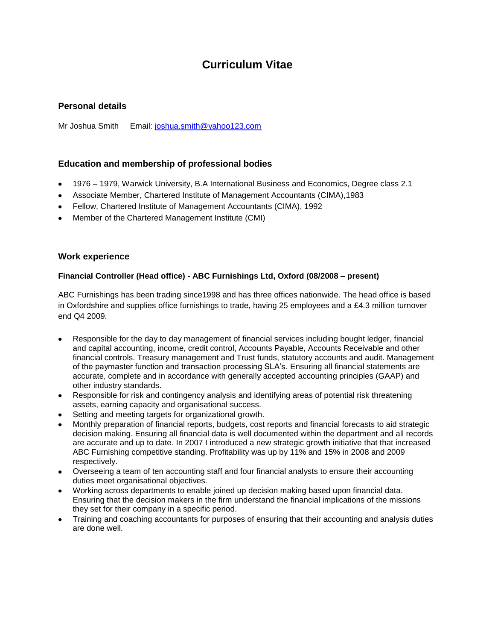# **Curriculum Vitae**

## **Personal details**

Mr Joshua Smith Email: [joshua.smith@yahoo123.com](mailto:joshua.smith@yahoo123.com)

### **Education and membership of professional bodies**

- 1976 1979, Warwick University, B.A International Business and Economics, Degree class 2.1
- Associate Member, Chartered Institute of Management Accountants (CIMA),1983
- Fellow, Chartered Institute of Management Accountants (CIMA), 1992
- Member of the Chartered Management Institute (CMI)

#### **Work experience**

#### **Financial Controller (Head office) - ABC Furnishings Ltd, Oxford (08/2008 – present)**

ABC Furnishings has been trading since1998 and has three offices nationwide. The head office is based in Oxfordshire and supplies office furnishings to trade, having 25 employees and a £4.3 million turnover end Q4 2009.

- Responsible for the day to day management of financial services including bought ledger, financial and capital accounting, income, credit control, Accounts Payable, Accounts Receivable and other financial controls. Treasury management and Trust funds, statutory accounts and audit. Management of the paymaster function and transaction processing SLA's. Ensuring all financial statements are accurate, complete and in accordance with generally accepted accounting principles (GAAP) and other industry standards.
- Responsible for risk and contingency analysis and identifying areas of potential risk threatening assets, earning capacity and organisational success.
- Setting and meeting targets for organizational growth.
- Monthly preparation of financial reports, budgets, cost reports and financial forecasts to aid strategic decision making. Ensuring all financial data is well documented within the department and all records are accurate and up to date. In 2007 I introduced a new strategic growth initiative that that increased ABC Furnishing competitive standing. Profitability was up by 11% and 15% in 2008 and 2009 respectively.
- Overseeing a team of ten accounting staff and four financial analysts to ensure their accounting duties meet organisational objectives.
- Working across departments to enable joined up decision making based upon financial data. Ensuring that the decision makers in the firm understand the financial implications of the missions they set for their company in a specific period.
- Training and coaching accountants for purposes of ensuring that their accounting and analysis duties are done well.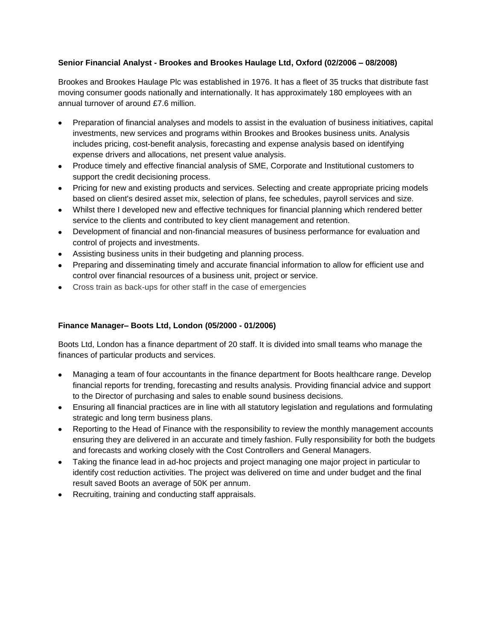### **Senior Financial Analyst - Brookes and Brookes Haulage Ltd, Oxford (02/2006 – 08/2008)**

Brookes and Brookes Haulage Plc was established in 1976. It has a fleet of 35 trucks that distribute fast moving consumer goods nationally and internationally. It has approximately 180 employees with an annual turnover of around £7.6 million.

- Preparation of financial analyses and models to assist in the evaluation of business initiatives, capital investments, new services and programs within Brookes and Brookes business units. Analysis includes pricing, cost-benefit analysis, forecasting and expense analysis based on identifying expense drivers and allocations, net present value analysis.
- Produce timely and effective financial analysis of SME, Corporate and Institutional customers to support the credit decisioning process.
- Pricing for new and existing products and services. Selecting and create appropriate pricing models based on client's desired asset mix, selection of plans, fee schedules, payroll services and size.
- Whilst there I developed new and effective techniques for financial planning which rendered better service to the clients and contributed to key client management and retention.
- Development of financial and non-financial measures of business performance for evaluation and control of projects and investments.
- Assisting business units in their budgeting and planning process.
- Preparing and disseminating timely and accurate financial information to allow for efficient use and control over financial resources of a business unit, project or service.
- Cross train as back-ups for other staff in the case of emergencies

### **Finance Manager– Boots Ltd, London (05/2000 - 01/2006)**

Boots Ltd, London has a finance department of 20 staff. It is divided into small teams who manage the finances of particular products and services.

- Managing a team of four accountants in the finance department for Boots healthcare range. Develop financial reports for trending, forecasting and results analysis. Providing financial advice and support to the Director of purchasing and sales to enable sound business decisions.
- Ensuring all financial practices are in line with all statutory legislation and regulations and formulating strategic and long term business plans.
- Reporting to the Head of Finance with the responsibility to review the monthly management accounts ensuring they are delivered in an accurate and timely fashion. Fully responsibility for both the budgets and forecasts and working closely with the Cost Controllers and General Managers.
- Taking the finance lead in ad-hoc projects and project managing one major project in particular to identify cost reduction activities. The project was delivered on time and under budget and the final result saved Boots an average of 50K per annum.
- Recruiting, training and conducting staff appraisals.